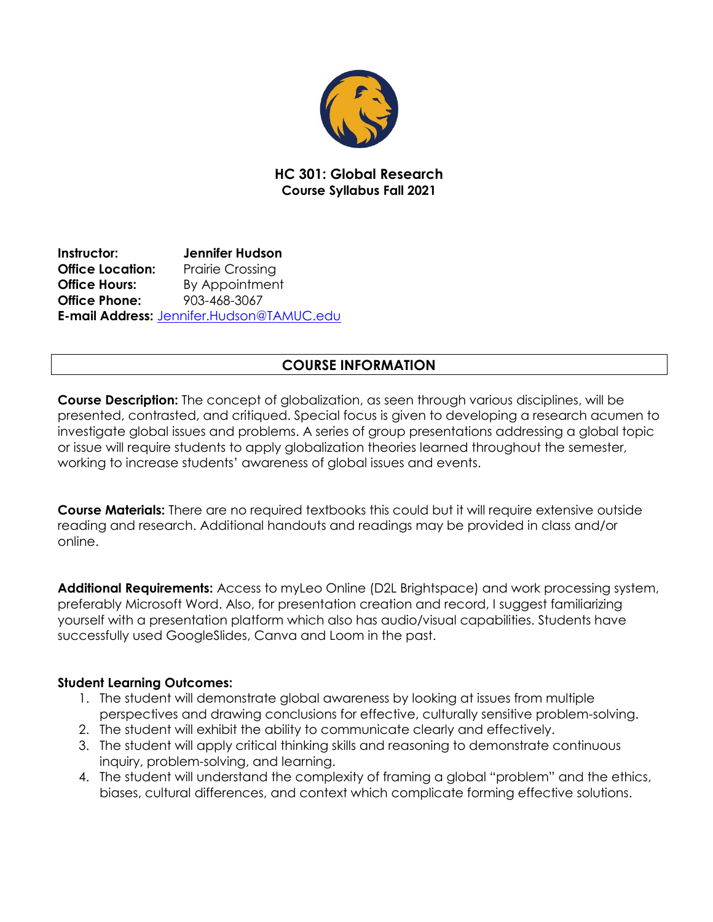

## **HC 301: Global Research Course Syllabus Fall 2021**

**Instructor: Jennifer Hudson Office Location:** Prairie Crossing **Office Hours:** By Appointment **Office Phone:** 903-468-3067 **E-mail Address:** [Jennifer.Hudson@TAMUC.edu](mailto:Jennifer.Hudson@TAMUC.edu)

# **COURSE INFORMATION**

**Course Description:** The concept of globalization, as seen through various disciplines, will be presented, contrasted, and critiqued. Special focus is given to developing a research acumen to investigate global issues and problems. A series of group presentations addressing a global topic or issue will require students to apply globalization theories learned throughout the semester, working to increase students' awareness of global issues and events.

**Course Materials:** There are no required textbooks this could but it will require extensive outside reading and research. Additional handouts and readings may be provided in class and/or online.

**Additional Requirements:** Access to myLeo Online (D2L Brightspace) and work processing system, preferably Microsoft Word. Also, for presentation creation and record, I suggest familiarizing yourself with a presentation platform which also has audio/visual capabilities. Students have successfully used GoogleSlides, Canva and Loom in the past.

### **Student Learning Outcomes:**

- 1. The student will demonstrate global awareness by looking at issues from multiple perspectives and drawing conclusions for effective, culturally sensitive problem-solving.
- 2. The student will exhibit the ability to communicate clearly and effectively.
- 3. The student will apply critical thinking skills and reasoning to demonstrate continuous inquiry, problem-solving, and learning.
- 4. The student will understand the complexity of framing a global "problem" and the ethics, biases, cultural differences, and context which complicate forming effective solutions.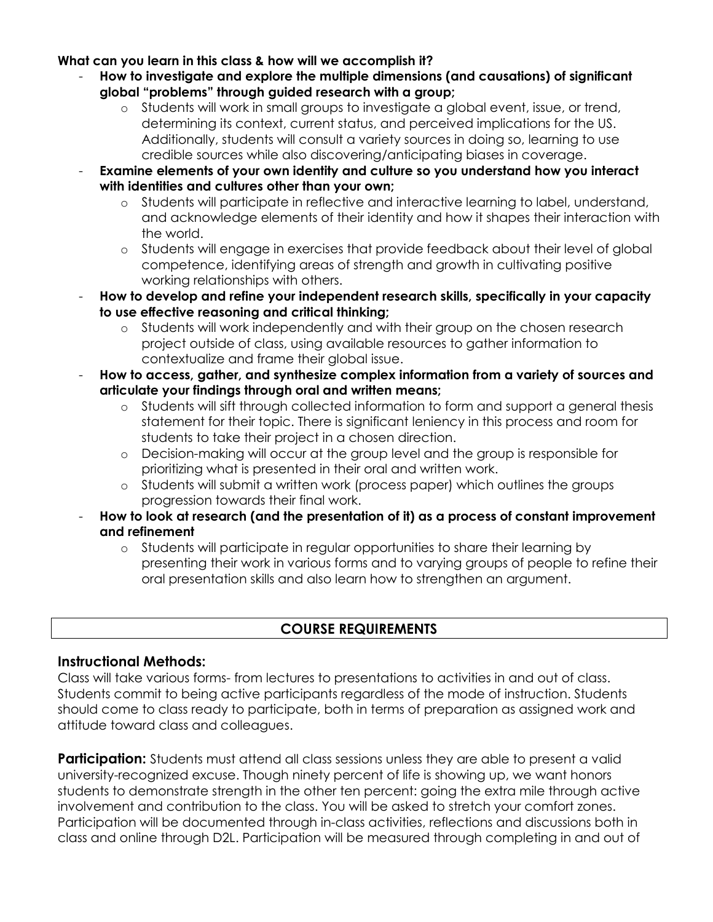#### **What can you learn in this class & how will we accomplish it?**

- **How to investigate and explore the multiple dimensions (and causations) of significant global "problems" through guided research with a group;**
	- o Students will work in small groups to investigate a global event, issue, or trend, determining its context, current status, and perceived implications for the US. Additionally, students will consult a variety sources in doing so, learning to use credible sources while also discovering/anticipating biases in coverage.
- **Examine elements of your own identity and culture so you understand how you interact with identities and cultures other than your own;**
	- o Students will participate in reflective and interactive learning to label, understand, and acknowledge elements of their identity and how it shapes their interaction with the world.
	- o Students will engage in exercises that provide feedback about their level of global competence, identifying areas of strength and growth in cultivating positive working relationships with others.
- **How to develop and refine your independent research skills, specifically in your capacity to use effective reasoning and critical thinking;**
	- o Students will work independently and with their group on the chosen research project outside of class, using available resources to gather information to contextualize and frame their global issue.
- **How to access, gather, and synthesize complex information from a variety of sources and articulate your findings through oral and written means;**
	- o Students will sift through collected information to form and support a general thesis statement for their topic. There is significant leniency in this process and room for students to take their project in a chosen direction.
	- o Decision-making will occur at the group level and the group is responsible for prioritizing what is presented in their oral and written work.
	- o Students will submit a written work (process paper) which outlines the groups progression towards their final work.
- **How to look at research (and the presentation of it) as a process of constant improvement and refinement**
	- o Students will participate in regular opportunities to share their learning by presenting their work in various forms and to varying groups of people to refine their oral presentation skills and also learn how to strengthen an argument.

## **COURSE REQUIREMENTS**

### **Instructional Methods:**

Class will take various forms- from lectures to presentations to activities in and out of class. Students commit to being active participants regardless of the mode of instruction. Students should come to class ready to participate, both in terms of preparation as assigned work and attitude toward class and colleagues.

**Participation:** Students must attend all class sessions unless they are able to present a valid university-recognized excuse. Though ninety percent of life is showing up, we want honors students to demonstrate strength in the other ten percent: going the extra mile through active involvement and contribution to the class. You will be asked to stretch your comfort zones. Participation will be documented through in-class activities, reflections and discussions both in class and online through D2L. Participation will be measured through completing in and out of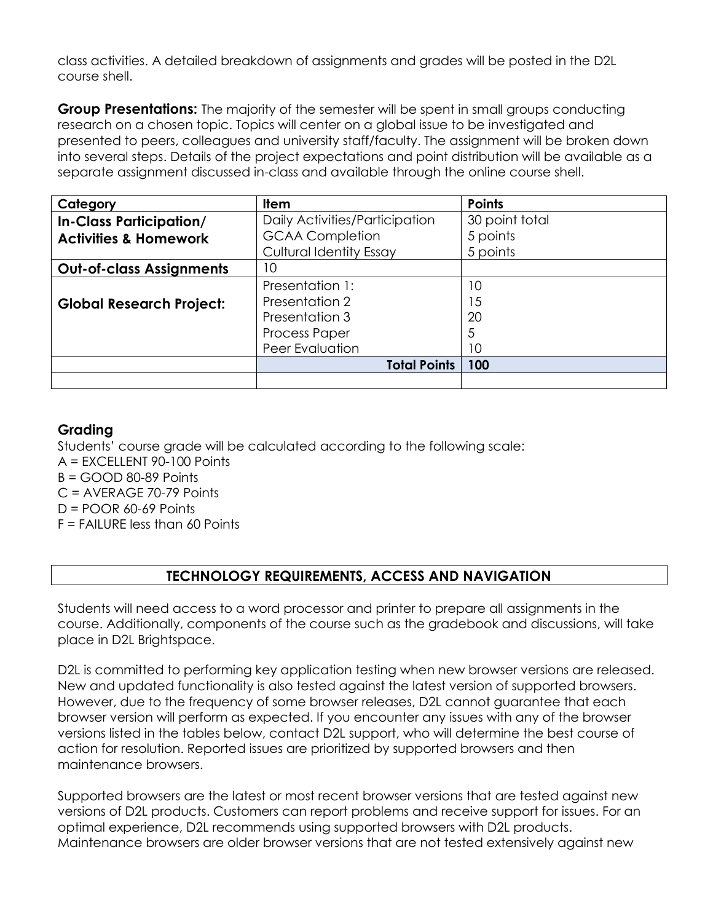class activities. A detailed breakdown of assignments and grades will be posted in the D2L course shell.

**Group Presentations:** The majority of the semester will be spent in small groups conducting research on a chosen topic. Topics will center on a global issue to be investigated and presented to peers, colleagues and university staff/faculty. The assignment will be broken down into several steps. Details of the project expectations and point distribution will be available as a separate assignment discussed in-class and available through the online course shell.

| Category                         | <b>Item</b>                    | <b>Points</b>  |
|----------------------------------|--------------------------------|----------------|
| <b>In-Class Participation/</b>   | Daily Activities/Participation | 30 point total |
| <b>Activities &amp; Homework</b> | <b>GCAA Completion</b>         | 5 points       |
|                                  | <b>Cultural Identity Essay</b> | 5 points       |
| <b>Out-of-class Assignments</b>  | 10                             |                |
|                                  | Presentation 1:                | 10             |
| <b>Global Research Project:</b>  | Presentation 2                 | 15             |
|                                  | Presentation 3                 | 20             |
|                                  | <b>Process Paper</b>           | 5              |
|                                  | Peer Evaluation                | 10             |
|                                  | <b>Total Points</b>            | 100            |
|                                  |                                |                |

# **Grading**

Students' course grade will be calculated according to the following scale:

A = EXCELLENT 90-100 Points

 $B = GOOD$  80-89 Points

C = AVERAGE 70-79 Points

 $D = POOR$  60-69 Points

F = FAILURE less than 60 Points

# **TECHNOLOGY REQUIREMENTS, ACCESS AND NAVIGATION**

Students will need access to a word processor and printer to prepare all assignments in the course. Additionally, components of the course such as the gradebook and discussions, will take place in D2L Brightspace.

D2L is committed to performing key application testing when new browser versions are released. New and updated functionality is also tested against the latest version of supported browsers. However, due to the frequency of some browser releases, D2L cannot guarantee that each browser version will perform as expected. If you encounter any issues with any of the browser versions listed in the tables below, contact D2L support, who will determine the best course of action for resolution. Reported issues are prioritized by supported browsers and then maintenance browsers.

Supported browsers are the latest or most recent browser versions that are tested against new versions of D2L products. Customers can report problems and receive support for issues. For an optimal experience, D2L recommends using supported browsers with D2L products. Maintenance browsers are older browser versions that are not tested extensively against new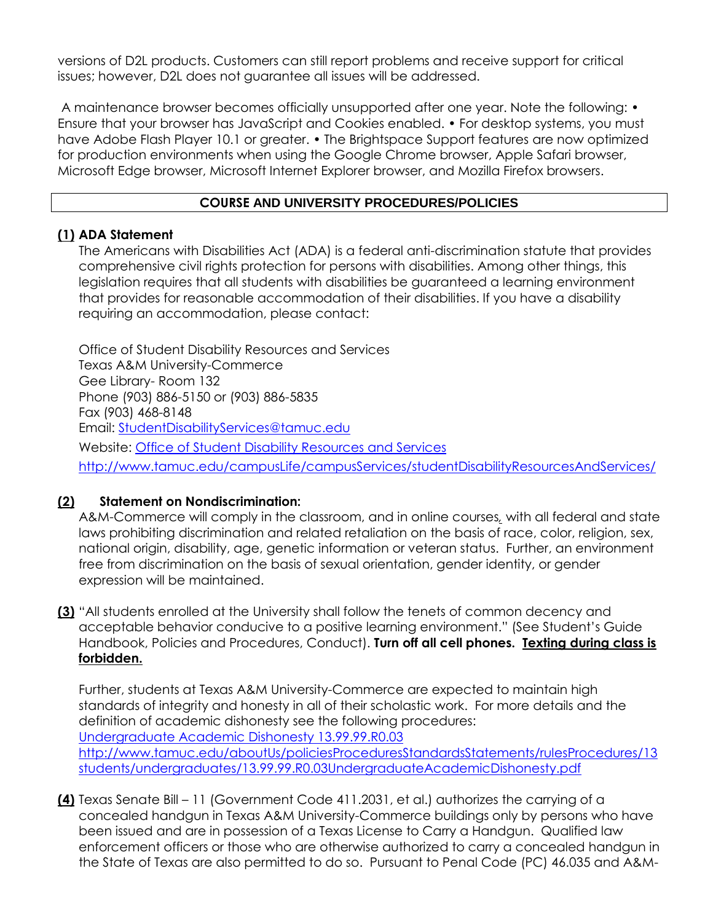versions of D2L products. Customers can still report problems and receive support for critical issues; however, D2L does not guarantee all issues will be addressed.

A maintenance browser becomes officially unsupported after one year. Note the following: • Ensure that your browser has JavaScript and Cookies enabled. • For desktop systems, you must have Adobe Flash Player 10.1 or greater. • The Brightspace Support features are now optimized for production environments when using the Google Chrome browser, Apple Safari browser, Microsoft Edge browser, Microsoft Internet Explorer browser, and Mozilla Firefox browsers.

### **COURSE AND UNIVERSITY PROCEDURES/POLICIES**

#### **(1) ADA Statement**

The Americans with Disabilities Act (ADA) is a federal anti-discrimination statute that provides comprehensive civil rights protection for persons with disabilities. Among other things, this legislation requires that all students with disabilities be guaranteed a learning environment that provides for reasonable accommodation of their disabilities. If you have a disability requiring an accommodation, please contact:

Office of Student Disability Resources and Services Texas A&M University-Commerce Gee Library- Room 132 Phone (903) 886-5150 or (903) 886-5835 Fax (903) 468-8148 Email: [StudentDisabilityServices@tamuc.edu](mailto:StudentDisabilityServices@tamuc.edu) Website: [Office of Student Disability Resources and Services](http://www.tamuc.edu/campusLife/campusServices/studentDisabilityResourcesAndServices/) <http://www.tamuc.edu/campusLife/campusServices/studentDisabilityResourcesAndServices/>

### **(2) Statement on Nondiscrimination:**

A&M-Commerce will comply in the classroom, and in online courses*,* with all federal and state laws prohibiting discrimination and related retaliation on the basis of race, color, religion, sex, national origin, disability, age, genetic information or veteran status. Further, an environment free from discrimination on the basis of sexual orientation, gender identity, or gender expression will be maintained.

**(3)** "All students enrolled at the University shall follow the tenets of common decency and acceptable behavior conducive to a positive learning environment." (See Student's Guide Handbook, Policies and Procedures, Conduct). **Turn off all cell phones. Texting during class is forbidden.**

Further, students at Texas A&M University-Commerce are expected to maintain high standards of integrity and honesty in all of their scholastic work. For more details and the definition of academic dishonesty see the following procedures: [Undergraduate Academic Dishonesty 13.99.99.R0.03](http://www.tamuc.edu/aboutUs/policiesProceduresStandardsStatements/rulesProcedures/13students/undergraduates/13.99.99.R0.03UndergraduateAcademicDishonesty.pdf) [http://www.tamuc.edu/aboutUs/policiesProceduresStandardsStatements/rulesProcedures/13](http://www.tamuc.edu/aboutUs/policiesProceduresStandardsStatements/rulesProcedures/13students/undergraduates/13.99.99.R0.03UndergraduateAcademicDishonesty.pdf) [students/undergraduates/13.99.99.R0.03UndergraduateAcademicDishonesty.pdf](http://www.tamuc.edu/aboutUs/policiesProceduresStandardsStatements/rulesProcedures/13students/undergraduates/13.99.99.R0.03UndergraduateAcademicDishonesty.pdf)

**(4)** Texas Senate Bill – 11 (Government Code 411.2031, et al.) authorizes the carrying of a concealed handgun in Texas A&M University-Commerce buildings only by persons who have been issued and are in possession of a Texas License to Carry a Handgun. Qualified law enforcement officers or those who are otherwise authorized to carry a concealed handgun in the State of Texas are also permitted to do so. Pursuant to Penal Code (PC) 46.035 and A&M-